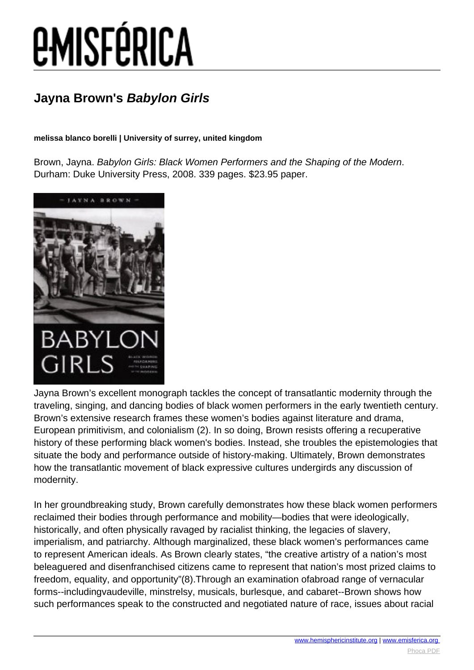# *EMISFÉRICA*

### **Jayna Brown's Babylon Girls**

#### **melissa blanco borelli | University of surrey, united kingdom**

Brown, Jayna. Babylon Girls: Black Women Performers and the Shaping of the Modern. Durham: Duke University Press, 2008. 339 pages. \$23.95 paper.



Jayna Brown's excellent monograph tackles the concept of transatlantic modernity through the traveling, singing, and dancing bodies of black women performers in the early twentieth century. Brown's extensive research frames these women's bodies against literature and drama, European primitivism, and colonialism (2). In so doing, Brown resists offering a recuperative history of these performing black women's bodies. Instead, she troubles the epistemologies that situate the body and performance outside of history-making. Ultimately, Brown demonstrates how the transatlantic movement of black expressive cultures undergirds any discussion of modernity.

In her groundbreaking study, Brown carefully demonstrates how these black women performers reclaimed their bodies through performance and mobility—bodies that were ideologically, historically, and often physically ravaged by racialist thinking, the legacies of slavery, imperialism, and patriarchy. Although marginalized, these black women's performances came to represent American ideals. As Brown clearly states, "the creative artistry of a nation's most beleaguered and disenfranchised citizens came to represent that nation's most prized claims to freedom, equality, and opportunity"(8).Through an examination ofabroad range of vernacular forms--includingvaudeville, minstrelsy, musicals, burlesque, and cabaret--Brown shows how such performances speak to the constructed and negotiated nature of race, issues about racial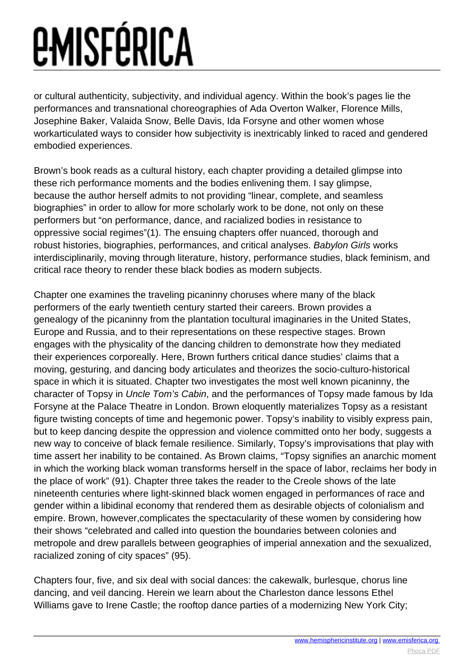## *<u>EMISFÉRICA</u>*

or cultural authenticity, subjectivity, and individual agency. Within the book's pages lie the performances and transnational choreographies of Ada Overton Walker, Florence Mills, Josephine Baker, Valaida Snow, Belle Davis, Ida Forsyne and other women whose workarticulated ways to consider how subjectivity is inextricably linked to raced and gendered embodied experiences.

Brown's book reads as a cultural history, each chapter providing a detailed glimpse into these rich performance moments and the bodies enlivening them. I say glimpse, because the author herself admits to not providing "linear, complete, and seamless biographies" in order to allow for more scholarly work to be done, not only on these performers but "on performance, dance, and racialized bodies in resistance to oppressive social regimes"(1). The ensuing chapters offer nuanced, thorough and robust histories, biographies, performances, and critical analyses. Babylon Girls works interdisciplinarily, moving through literature, history, performance studies, black feminism, and critical race theory to render these black bodies as modern subjects.

Chapter one examines the traveling picaninny choruses where many of the black performers of the early twentieth century started their careers. Brown provides a genealogy of the picaninny from the plantation tocultural imaginaries in the United States, Europe and Russia, and to their representations on these respective stages. Brown engages with the physicality of the dancing children to demonstrate how they mediated their experiences corporeally. Here, Brown furthers critical dance studies' claims that a moving, gesturing, and dancing body articulates and theorizes the socio-culturo-historical space in which it is situated. Chapter two investigates the most well known picaninny, the character of Topsy in Uncle Tom's Cabin, and the performances of Topsy made famous by Ida Forsyne at the Palace Theatre in London. Brown eloquently materializes Topsy as a resistant figure twisting concepts of time and hegemonic power. Topsy's inability to visibly express pain, but to keep dancing despite the oppression and violence committed onto her body, suggests a new way to conceive of black female resilience. Similarly, Topsy's improvisations that play with time assert her inability to be contained. As Brown claims, "Topsy signifies an anarchic moment in which the working black woman transforms herself in the space of labor, reclaims her body in the place of work" (91). Chapter three takes the reader to the Creole shows of the late nineteenth centuries where light-skinned black women engaged in performances of race and gender within a libidinal economy that rendered them as desirable objects of colonialism and empire. Brown, however,complicates the spectacularity of these women by considering how their shows "celebrated and called into question the boundaries between colonies and metropole and drew parallels between geographies of imperial annexation and the sexualized, racialized zoning of city spaces" (95).

Chapters four, five, and six deal with social dances: the cakewalk, burlesque, chorus line dancing, and veil dancing. Herein we learn about the Charleston dance lessons Ethel Williams gave to Irene Castle; the rooftop dance parties of a modernizing New York City;